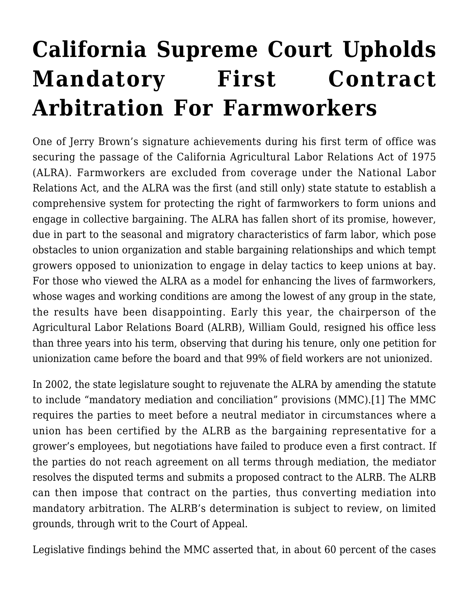## **[California Supreme Court Upholds](https://scocablog.com/california-supreme-court-upholds-mandatory-first-contract-arbitration-for-farmworkers/) [Mandatory First Contract](https://scocablog.com/california-supreme-court-upholds-mandatory-first-contract-arbitration-for-farmworkers/) [Arbitration For Farmworkers](https://scocablog.com/california-supreme-court-upholds-mandatory-first-contract-arbitration-for-farmworkers/)**

One of Jerry Brown's signature achievements during his first term of office was securing the passage of the California Agricultural Labor Relations Act of 1975 (ALRA). Farmworkers are excluded from coverage under the National Labor Relations Act, and the ALRA was the first (and still only) state statute to establish a comprehensive system for protecting the right of farmworkers to form unions and engage in collective bargaining. The ALRA has fallen short of its promise, however, due in part to the seasonal and migratory characteristics of farm labor, which pose obstacles to union organization and stable bargaining relationships and which tempt growers opposed to unionization to engage in delay tactics to keep unions at bay. For those who viewed the ALRA as a model for enhancing the lives of farmworkers, whose wages and working conditions are among the lowest of any group in the state, the results have been disappointing. Early this year, the chairperson of the Agricultural Labor Relations Board (ALRB), William Gould, resigned his office less than three years into his term, observing that during his tenure, only one petition for unionization came before the board and that 99% of field workers are not unionized.

<span id="page-0-0"></span>In 2002, the state legislature sought to rejuvenate the ALRA by amending the statute to include "mandatory mediation and conciliation" provisions (MMC).[\[1\]](#page-4-0) The MMC requires the parties to meet before a neutral mediator in circumstances where a union has been certified by the ALRB as the bargaining representative for a grower's employees, but negotiations have failed to produce even a first contract. If the parties do not reach agreement on all terms through mediation, the mediator resolves the disputed terms and submits a proposed contract to the ALRB. The ALRB can then impose that contract on the parties, thus converting mediation into mandatory arbitration. The ALRB's determination is subject to review, on limited grounds, through writ to the Court of Appeal.

Legislative findings behind the MMC asserted that, in about 60 percent of the cases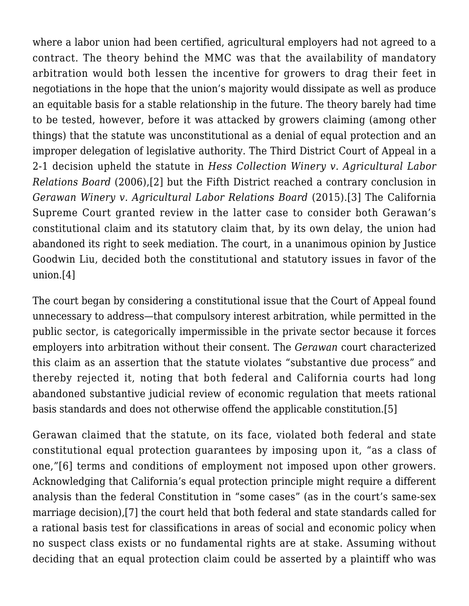where a labor union had been certified, agricultural employers had not agreed to a contract. The theory behind the MMC was that the availability of mandatory arbitration would both lessen the incentive for growers to drag their feet in negotiations in the hope that the union's majority would dissipate as well as produce an equitable basis for a stable relationship in the future. The theory barely had time to be tested, however, before it was attacked by growers claiming (among other things) that the statute was unconstitutional as a denial of equal protection and an improper delegation of legislative authority. The Third District Court of Appeal in a 2-1 decision upheld the statute in *Hess Collection Winery v. Agricultural Labor Relations Board* (2006),[\[2\]](#page-4-1) but the Fifth District reached a contrary conclusion in *Gerawan Winery v. Agricultural Labor Relations Board* (2015).[\[3\]](#page-4-2) The California Supreme Court granted review in the latter case to consider both Gerawan's constitutional claim and its statutory claim that, by its own delay, the union had abandoned its right to seek mediation. The court, in a unanimous opinion by Justice Goodwin Liu, decided both the constitutional and statutory issues in favor of the union[.\[4\]](#page-4-3)

<span id="page-1-2"></span><span id="page-1-1"></span><span id="page-1-0"></span>The court began by considering a constitutional issue that the Court of Appeal found unnecessary to address—that compulsory interest arbitration, while permitted in the public sector, is categorically impermissible in the private sector because it forces employers into arbitration without their consent. The *Gerawan* court characterized this claim as an assertion that the statute violates "substantive due process" and thereby rejected it, noting that both federal and California courts had long abandoned substantive judicial review of economic regulation that meets rational basis standards and does not otherwise offend the applicable constitution[.\[5\]](#page-4-4)

<span id="page-1-5"></span><span id="page-1-4"></span><span id="page-1-3"></span>Gerawan claimed that the statute, on its face, violated both federal and state constitutional equal protection guarantees by imposing upon it, "as a class of one,"[\[6\]](#page-4-5) terms and conditions of employment not imposed upon other growers. Acknowledging that California's equal protection principle might require a different analysis than the federal Constitution in "some cases" (as in the court's same-sex marriage decision),[\[7\]](#page-4-6) the court held that both federal and state standards called for a rational basis test for classifications in areas of social and economic policy when no suspect class exists or no fundamental rights are at stake. Assuming without deciding that an equal protection claim could be asserted by a plaintiff who was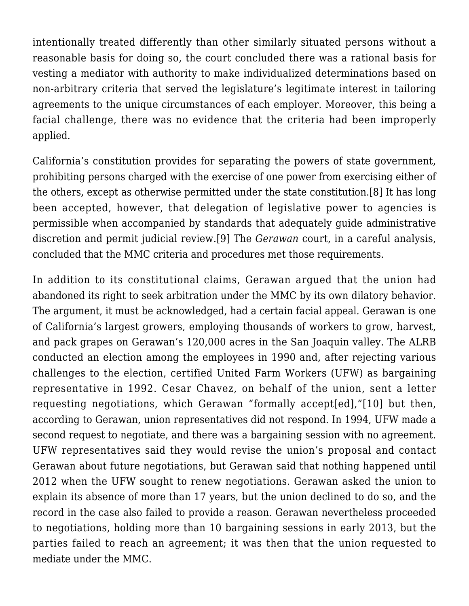intentionally treated differently than other similarly situated persons without a reasonable basis for doing so, the court concluded there was a rational basis for vesting a mediator with authority to make individualized determinations based on non-arbitrary criteria that served the legislature's legitimate interest in tailoring agreements to the unique circumstances of each employer. Moreover, this being a facial challenge, there was no evidence that the criteria had been improperly applied.

<span id="page-2-0"></span>California's constitution provides for separating the powers of state government, prohibiting persons charged with the exercise of one power from exercising either of the others, except as otherwise permitted under the state constitution[.\[8\]](#page-4-7) It has long been accepted, however, that delegation of legislative power to agencies is permissible when accompanied by standards that adequately guide administrative discretion and permit judicial review.[\[9\]](#page-4-8) The *Gerawan* court, in a careful analysis, concluded that the MMC criteria and procedures met those requirements.

<span id="page-2-2"></span><span id="page-2-1"></span>In addition to its constitutional claims, Gerawan argued that the union had abandoned its right to seek arbitration under the MMC by its own dilatory behavior. The argument, it must be acknowledged, had a certain facial appeal. Gerawan is one of California's largest growers, employing thousands of workers to grow, harvest, and pack grapes on Gerawan's 120,000 acres in the San Joaquin valley. The ALRB conducted an election among the employees in 1990 and, after rejecting various challenges to the election, certified United Farm Workers (UFW) as bargaining representative in 1992. Cesar Chavez, on behalf of the union, sent a letter requesting negotiations, which Gerawan "formally accept[ed],"[\[10\]](#page-4-9) but then, according to Gerawan, union representatives did not respond. In 1994, UFW made a second request to negotiate, and there was a bargaining session with no agreement. UFW representatives said they would revise the union's proposal and contact Gerawan about future negotiations, but Gerawan said that nothing happened until 2012 when the UFW sought to renew negotiations. Gerawan asked the union to explain its absence of more than 17 years, but the union declined to do so, and the record in the case also failed to provide a reason. Gerawan nevertheless proceeded to negotiations, holding more than 10 bargaining sessions in early 2013, but the parties failed to reach an agreement; it was then that the union requested to mediate under the MMC.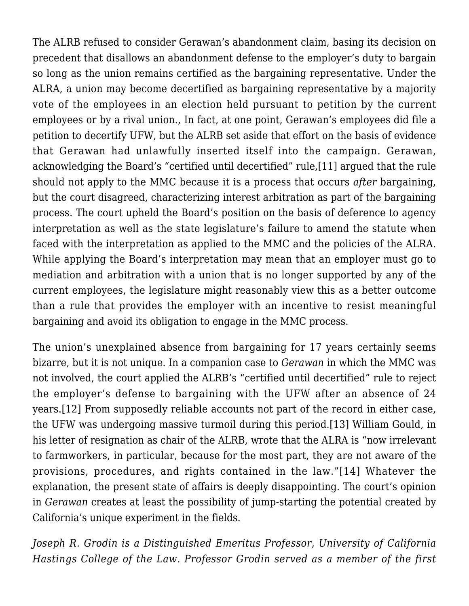<span id="page-3-0"></span>The ALRB refused to consider Gerawan's abandonment claim, basing its decision on precedent that disallows an abandonment defense to the employer's duty to bargain so long as the union remains certified as the bargaining representative. Under the ALRA, a union may become decertified as bargaining representative by a majority vote of the employees in an election held pursuant to petition by the current employees or by a rival union., In fact, at one point, Gerawan's employees did file a petition to decertify UFW, but the ALRB set aside that effort on the basis of evidence that Gerawan had unlawfully inserted itself into the campaign. Gerawan, acknowledging the Board's "certified until decertified" rule[,\[11\]](#page-4-10) argued that the rule should not apply to the MMC because it is a process that occurs *after* bargaining, but the court disagreed, characterizing interest arbitration as part of the bargaining process. The court upheld the Board's position on the basis of deference to agency interpretation as well as the state legislature's failure to amend the statute when faced with the interpretation as applied to the MMC and the policies of the ALRA. While applying the Board's interpretation may mean that an employer must go to mediation and arbitration with a union that is no longer supported by any of the current employees, the legislature might reasonably view this as a better outcome than a rule that provides the employer with an incentive to resist meaningful bargaining and avoid its obligation to engage in the MMC process.

<span id="page-3-2"></span><span id="page-3-1"></span>The union's unexplained absence from bargaining for 17 years certainly seems bizarre, but it is not unique. In a companion case to *Gerawan* in which the MMC was not involved, the court applied the ALRB's "certified until decertified" rule to reject the employer's defense to bargaining with the UFW after an absence of 24 years.[\[12\]](#page-4-11) From supposedly reliable accounts not part of the record in either case, the UFW was undergoing massive turmoil during this period.[\[13\]](#page-4-12) William Gould, in his letter of resignation as chair of the ALRB, wrote that the ALRA is "now irrelevant to farmworkers, in particular, because for the most part, they are not aware of the provisions, procedures, and rights contained in the law."[\[14\]](#page-4-13) Whatever the explanation, the present state of affairs is deeply disappointing. The court's opinion in *Gerawan* creates at least the possibility of jump-starting the potential created by California's unique experiment in the fields.

<span id="page-3-3"></span>*Joseph R. Grodin is a Distinguished Emeritus Professor, University of California Hastings College of the Law. Professor Grodin served as a member of the first*